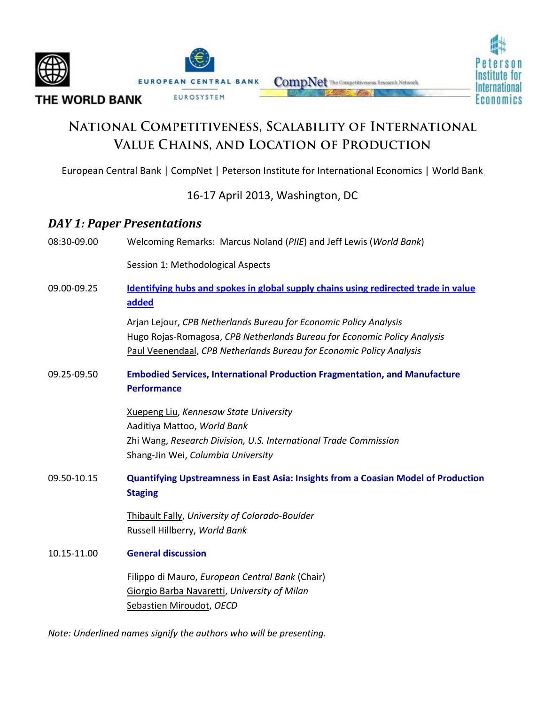

# NATIONAL COMPETITIVENESS, SCALABILITY OF INTERNATIONAL VALUE CHAINS, AND LOCATION OF PRODUCTION

European Central Bank | CompNet | Peterson Institute for International Economics | World Bank

16-17 April 2013, Washington, DC

## *DAY 1: Paper Presentations*

08:30-09.00 Welcoming Remarks: Marcus Noland (*PIIE*) and Jeff Lewis (*World Bank*)

Session 1: Methodological Aspects

09.00-09.25 **[Identifying hubs and spokes in global supply chains using redirected trade in value](http://siteresources.worldbank.org/INTRANETTRADE/Resources/Internal-Training/287823-1349811450552/Lejour_etal_5apr2013_WBconference.pdf)  [added](http://siteresources.worldbank.org/INTRANETTRADE/Resources/Internal-Training/287823-1349811450552/Lejour_etal_5apr2013_WBconference.pdf)**

> Arjan Lejour, *CPB Netherlands Bureau for Economic Policy Analysis* Hugo Rojas-Romagosa, *CPB Netherlands Bureau for Economic Policy Analysis* Paul Veenendaal, *CPB Netherlands Bureau for Economic Policy Analysis*

09.25-09.50 **Embodied Services, International Production Fragmentation, and Manufacture Performance**

> Xuepeng Liu, *Kennesaw State University*  Aaditiya Mattoo, *World Bank* Zhi Wang, *Research Division, U.S. International Trade Commission* Shang-Jin Wei, *Columbia University*

09.50-10.15 **Quantifying Upstreamness in East Asia: Insights from a Coasian Model of Production Staging**

> Thibault Fally, *University of Colorado-Boulder* Russell Hillberry, *World Bank*

#### 10.15-11.00 **General discussion**

Filippo di Mauro, *European Central Bank* (Chair) Giorgio Barba Navaretti, *University of Milan* Sebastien Miroudot, *OECD*

*Note: Underlined names signify the authors who will be presenting.*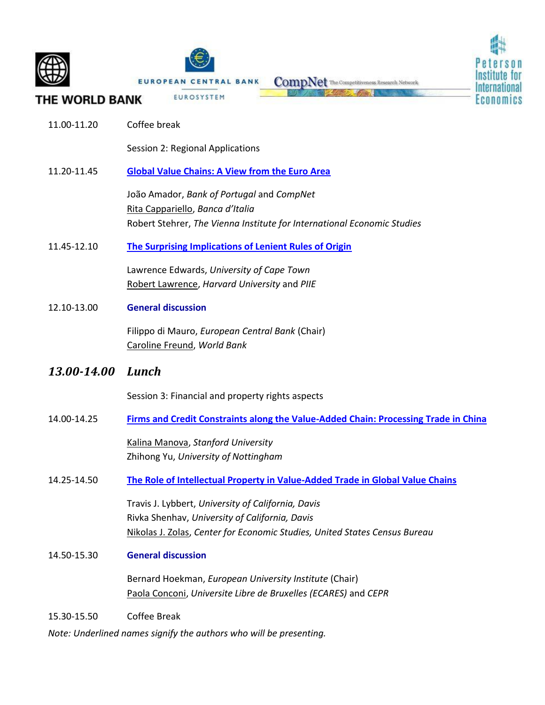



THE WORLD BANK

11.00-11.20 Coffee break

Session 2: Regional Applications

EUROPEAN CENTRAL BANK

EUROSYSTEM

#### 11.20-11.45 **[Global Value Chains: A View from the Euro Area](http://siteresources.worldbank.org/INTRANETTRADE/Resources/Internal-Training/287823-1349811450552/Global_Value_Chains_a_view_from_the_euro_area.pdf)**

João Amador, *Bank of Portugal* and *CompNet* Rita Cappariello, *Banca d'Italia* Robert Stehrer, *The Vienna Institute for International Economic Studies*

11.45-12.10 **[The Surprising Implications of Lenient Rules of Origin](http://siteresources.worldbank.org/INTRANETTRADE/Resources/Internal-Training/287823-1349811450552/EdwardsLawrenceAfricaPaper.pdf)**

Lawrence Edwards, *University of Cape Town* Robert Lawrence, *Harvard University* and *PIIE* 

12.10-13.00 **General discussion**

Filippo di Mauro, *European Central Bank* (Chair) Caroline Freund, *World Bank*

## *13.00-14.00 Lunch*

Session 3: Financial and property rights aspects

14.00-14.25 **[Firms and Credit Constraints along the Value-Added Chain: Processing Trade in China](http://www.stanford.edu/~manova/TR.pdf)**

Kalina Manova, *Stanford University* Zhihong Yu, *University of Nottingham*

14.25-14.50 **[The Role of Intellectual Property in Value-Added Trade in Global Value Chains](http://siteresources.worldbank.org/INTRANETTRADE/Resources/Internal-Training/287823-1349811450552/The_Role_of_Intellectual_Property_in_Value-Added_Trade_in_Global_Value_Chains.pdf)**

Travis J. Lybbert, *University of California, Davis* Rivka Shenhav, *University of California, Davis* Nikolas J. Zolas, *Center for Economic Studies, United States Census Bureau*

14.50-15.30 **General discussion**

Bernard Hoekman, *European University Institute* (Chair) Paola Conconi, *Universite Libre de Bruxelles (ECARES)* and *CEPR*

15.30-15.50 Coffee Break

*Note: Underlined names signify the authors who will be presenting.*